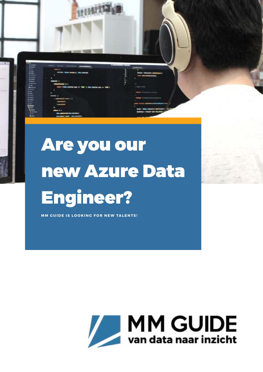

**MM GUIDE IS LOOKING FOR NEW TALENTS!** 

HHAT

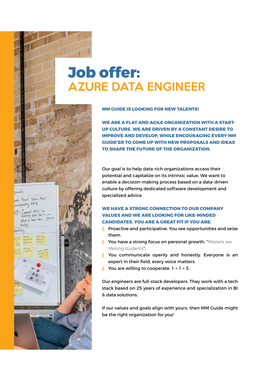# **Job offer:** AZURE DATA ENGINEER

حاء

ale Practi Dala Mont  $J_{\nu\gamma}$  ATI

光气 十

#### **MM GUIDE IS LOOKING FOR NEW TALENTS!**

**WE ARE A FLAT AND AGILE ORGANIZATION WITH A START-UP CULTURE. WE ARE DRIVEN BY A CONSTANT DESIRE TO IMPROVE AND DEVELOP, WHILE ENCOURAGING EVERY MM GUIDE'ER TO COME UP WITH NEW PROPOSALS AND IDEAS TO SHAPE THE FUTURE OF THE ORGANIZATION.**

Our goal is to help data-rich organizations access their potential and capitalize on its intrinsic value. We want to enable a decision-making process based on a data-driven culture by offering dedicated software development and specialized advice.

#### **WE HAVE A STRONG CONNECTION TO OUR COMPANY VALUES AND WE ARE LOOKING FOR LIKE-MINDED CANDIDATES. YOU ARE A GREAT FIT IF YOU ARE:**

Proactive and participative. You see opportunities and seize them.

You have a strong focus on personal growth. "Masters are lifelong students".

You communicate openly and honestly. Everyone is an expert in their field, every voice matters.

You are willing to cooperate.  $1 + 1 = 3$ .

Our engineers are full-stack developers. They work with a tech stack based on 25 years of experience and specialization in BI & data solutions.

If our values and goals align with yours, then MM Guide might be the right organization for you!